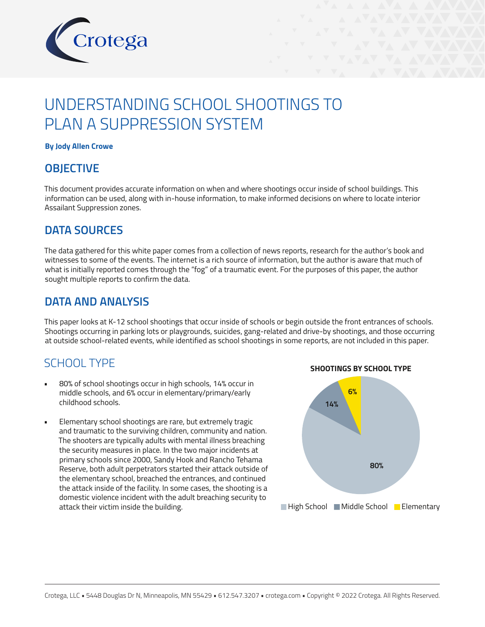

# UNDERSTANDING SCHOOL SHOOTINGS TO PLAN A SUPPRESSION SYSTEM

#### **By Jody Allen Crowe**

#### **OBJECTIVE**

This document provides accurate information on when and where shootings occur inside of school buildings. This information can be used, along with in-house information, to make informed decisions on where to locate interior Assailant Suppression zones.

#### **DATA SOURCES**

The data gathered for this white paper comes from a collection of news reports, research for the author's book and witnesses to some of the events. The internet is a rich source of information, but the author is aware that much of what is initially reported comes through the "fog" of a traumatic event. For the purposes of this paper, the author sought multiple reports to confirm the data.

#### **DATA AND ANALYSIS**

This paper looks at K-12 school shootings that occur inside of schools or begin outside the front entrances of schools. Shootings occurring in parking lots or playgrounds, suicides, gang-related and drive-by shootings, and those occurring at outside school-related events, while identified as school shootings in some reports, are not included in this paper.

### SCHOOL TYPE

- 80% of school shootings occur in high schools, 14% occur in middle schools, and 6% occur in elementary/primary/early childhood schools.
- Elementary school shootings are rare, but extremely tragic and traumatic to the surviving children, community and nation. The shooters are typically adults with mental illness breaching the security measures in place. In the two major incidents at primary schools since 2000, Sandy Hook and Rancho Tehama Reserve, both adult perpetrators started their attack outside of the elementary school, breached the entrances, and continued the attack inside of the facility. In some cases, the shooting is a domestic violence incident with the adult breaching security to attack their victim inside the building. The state of the state of High School Middle School Microsoft Elementary

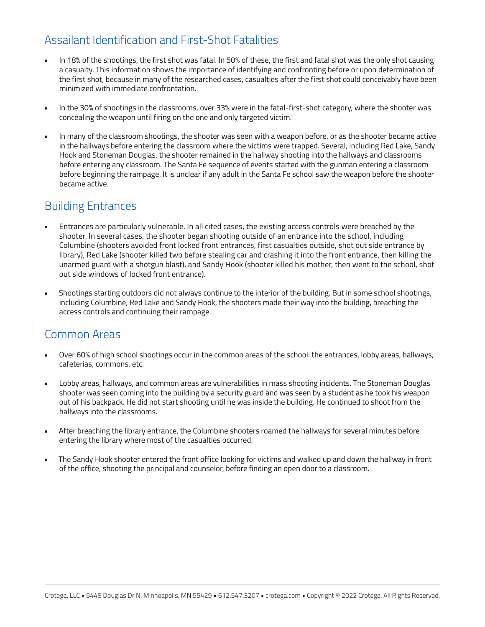# Assailant Identification and First-Shot Fatalities

- In 18% of the shootings, the first shot was fatal. In 50% of these, the first and fatal shot was the only shot causing a casualty. This information shows the importance of identifying and confronting before or upon determination of the first shot, because in many of the researched cases, casualties after the first shot could conceivably have been minimized with immediate confrontation.
- In the 30% of shootings in the classrooms, over 33% were in the fatal-first-shot category, where the shooter was concealing the weapon until firing on the one and only targeted victim.
- In many of the classroom shootings, the shooter was seen with a weapon before, or as the shooter became active in the hallways before entering the classroom where the victims were trapped. Several, including Red Lake, Sandy Hook and Stoneman Douglas, the shooter remained in the hallway shooting into the hallways and classrooms before entering any classroom. The Santa Fe sequence of events started with the gunman entering a classroom before beginning the rampage. It is unclear if any adult in the Santa Fe school saw the weapon before the shooter became active.

### Building Entrances

- Entrances are particularly vulnerable. In all cited cases, the existing access controls were breached by the shooter. In several cases, the shooter began shooting outside of an entrance into the school, including Columbine (shooters avoided front locked front entrances, first casualties outside, shot out side entrance by library), Red Lake (shooter killed two before stealing car and crashing it into the front entrance, then killing the unarmed guard with a shotgun blast), and Sandy Hook (shooter killed his mother, then went to the school, shot out side windows of locked front entrance).
- Shootings starting outdoors did not always continue to the interior of the building. But in some school shootings, including Columbine, Red Lake and Sandy Hook, the shooters made their way into the building, breaching the access controls and continuing their rampage.

### Common Areas

- Over 60% of high school shootings occur in the common areas of the school: the entrances, lobby areas, hallways, cafeterias, commons, etc.
- Lobby areas, hallways, and common areas are vulnerabilities in mass shooting incidents. The Stoneman Douglas shooter was seen coming into the building by a security guard and was seen by a student as he took his weapon out of his backpack. He did not start shooting until he was inside the building. He continued to shoot from the hallways into the classrooms.
- After breaching the library entrance, the Columbine shooters roamed the hallways for several minutes before entering the library where most of the casualties occurred.
- The Sandy Hook shooter entered the front office looking for victims and walked up and down the hallway in front of the office, shooting the principal and counselor, before finding an open door to a classroom.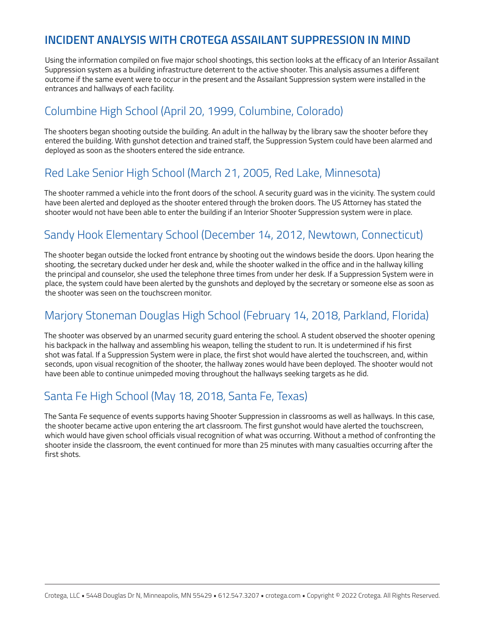### **INCIDENT ANALYSIS WITH CROTEGA ASSAILANT SUPPRESSION IN MIND**

Using the information compiled on five major school shootings, this section looks at the efficacy of an Interior Assailant Suppression system as a building infrastructure deterrent to the active shooter. This analysis assumes a different outcome if the same event were to occur in the present and the Assailant Suppression system were installed in the entrances and hallways of each facility.

## Columbine High School (April 20, 1999, Columbine, Colorado)

The shooters began shooting outside the building. An adult in the hallway by the library saw the shooter before they entered the building. With gunshot detection and trained staff, the Suppression System could have been alarmed and deployed as soon as the shooters entered the side entrance.

### Red Lake Senior High School (March 21, 2005, Red Lake, Minnesota)

The shooter rammed a vehicle into the front doors of the school. A security guard was in the vicinity. The system could have been alerted and deployed as the shooter entered through the broken doors. The US Attorney has stated the shooter would not have been able to enter the building if an Interior Shooter Suppression system were in place.

# Sandy Hook Elementary School (December 14, 2012, Newtown, Connecticut)

The shooter began outside the locked front entrance by shooting out the windows beside the doors. Upon hearing the shooting, the secretary ducked under her desk and, while the shooter walked in the office and in the hallway killing the principal and counselor, she used the telephone three times from under her desk. If a Suppression System were in place, the system could have been alerted by the gunshots and deployed by the secretary or someone else as soon as the shooter was seen on the touchscreen monitor.

# Marjory Stoneman Douglas High School (February 14, 2018, Parkland, Florida)

The shooter was observed by an unarmed security guard entering the school. A student observed the shooter opening his backpack in the hallway and assembling his weapon, telling the student to run. It is undetermined if his first shot was fatal. If a Suppression System were in place, the first shot would have alerted the touchscreen, and, within seconds, upon visual recognition of the shooter, the hallway zones would have been deployed. The shooter would not have been able to continue unimpeded moving throughout the hallways seeking targets as he did.

### Santa Fe High School (May 18, 2018, Santa Fe, Texas)

The Santa Fe sequence of events supports having Shooter Suppression in classrooms as well as hallways. In this case, the shooter became active upon entering the art classroom. The first gunshot would have alerted the touchscreen, which would have given school officials visual recognition of what was occurring. Without a method of confronting the shooter inside the classroom, the event continued for more than 25 minutes with many casualties occurring after the first shots.